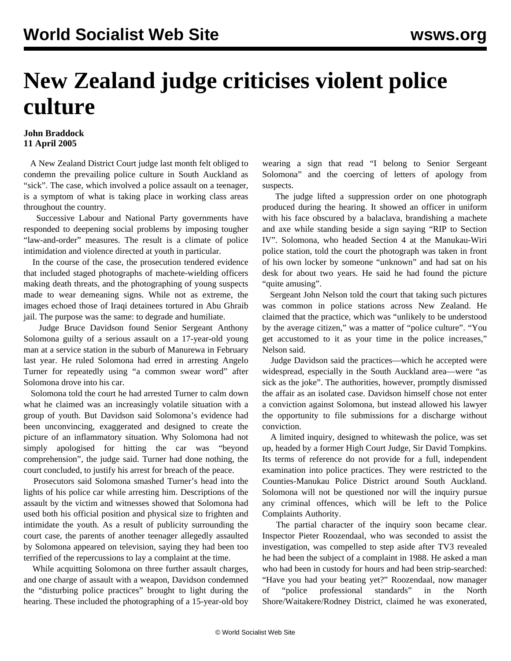## **New Zealand judge criticises violent police culture**

## **John Braddock 11 April 2005**

 A New Zealand District Court judge last month felt obliged to condemn the prevailing police culture in South Auckland as "sick". The case, which involved a police assault on a teenager, is a symptom of what is taking place in working class areas throughout the country.

 Successive Labour and National Party governments have responded to deepening social problems by imposing tougher "law-and-order" measures. The result is a climate of police intimidation and violence directed at youth in particular.

 In the course of the case, the prosecution tendered evidence that included staged photographs of machete-wielding officers making death threats, and the photographing of young suspects made to wear demeaning signs. While not as extreme, the images echoed those of Iraqi detainees tortured in Abu Ghraib jail. The purpose was the same: to degrade and humiliate.

 Judge Bruce Davidson found Senior Sergeant Anthony Solomona guilty of a serious assault on a 17-year-old young man at a service station in the suburb of Manurewa in February last year. He ruled Solomona had erred in arresting Angelo Turner for repeatedly using "a common swear word" after Solomona drove into his car.

 Solomona told the court he had arrested Turner to calm down what he claimed was an increasingly volatile situation with a group of youth. But Davidson said Solomona's evidence had been unconvincing, exaggerated and designed to create the picture of an inflammatory situation. Why Solomona had not simply apologised for hitting the car was "beyond comprehension", the judge said. Turner had done nothing, the court concluded, to justify his arrest for breach of the peace.

 Prosecutors said Solomona smashed Turner's head into the lights of his police car while arresting him. Descriptions of the assault by the victim and witnesses showed that Solomona had used both his official position and physical size to frighten and intimidate the youth. As a result of publicity surrounding the court case, the parents of another teenager allegedly assaulted by Solomona appeared on television, saying they had been too terrified of the repercussions to lay a complaint at the time.

 While acquitting Solomona on three further assault charges, and one charge of assault with a weapon, Davidson condemned the "disturbing police practices" brought to light during the hearing. These included the photographing of a 15-year-old boy wearing a sign that read "I belong to Senior Sergeant Solomona" and the coercing of letters of apology from suspects.

 The judge lifted a suppression order on one photograph produced during the hearing. It showed an officer in uniform with his face obscured by a balaclava, brandishing a machete and axe while standing beside a sign saying "RIP to Section IV". Solomona, who headed Section 4 at the Manukau-Wiri police station, told the court the photograph was taken in front of his own locker by someone "unknown" and had sat on his desk for about two years. He said he had found the picture "quite amusing".

 Sergeant John Nelson told the court that taking such pictures was common in police stations across New Zealand. He claimed that the practice, which was "unlikely to be understood by the average citizen," was a matter of "police culture". "You get accustomed to it as your time in the police increases," Nelson said.

 Judge Davidson said the practices—which he accepted were widespread, especially in the South Auckland area—were "as sick as the joke". The authorities, however, promptly dismissed the affair as an isolated case. Davidson himself chose not enter a conviction against Solomona, but instead allowed his lawyer the opportunity to file submissions for a discharge without conviction.

 A limited inquiry, designed to whitewash the police, was set up, headed by a former High Court Judge, Sir David Tompkins. Its terms of reference do not provide for a full, independent examination into police practices. They were restricted to the Counties-Manukau Police District around South Auckland. Solomona will not be questioned nor will the inquiry pursue any criminal offences, which will be left to the Police Complaints Authority.

 The partial character of the inquiry soon became clear. Inspector Pieter Roozendaal, who was seconded to assist the investigation, was compelled to step aside after TV3 revealed he had been the subject of a complaint in 1988. He asked a man who had been in custody for hours and had been strip-searched: "Have you had your beating yet?" Roozendaal, now manager of "police professional standards" in the North Shore/Waitakere/Rodney District, claimed he was exonerated,